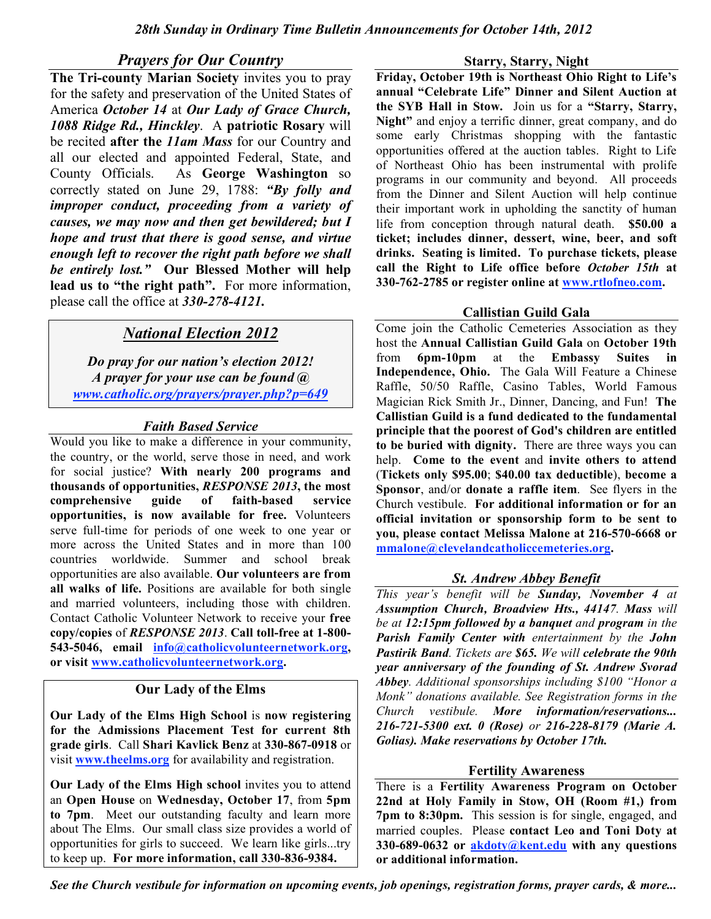# *Prayers for Our Country*

**The Tri-county Marian Society** invites you to pray for the safety and preservation of the United States of America *October 14* at *Our Lady of Grace Church, 1088 Ridge Rd., Hinckley*. A **patriotic Rosary** will be recited **after the** *11am Mass* for our Country and all our elected and appointed Federal, State, and County Officials. As **George Washington** so correctly stated on June 29, 1788: *"By folly and improper conduct, proceeding from a variety of causes, we may now and then get bewildered; but I hope and trust that there is good sense, and virtue enough left to recover the right path before we shall be entirely lost."* **Our Blessed Mother will help lead us to "the right path".** For more information, please call the office at *330-278-4121***.**

# *National Election 2012*

*Do pray for our nation's election 2012! A prayer for your use can be found @ www.catholic.org/prayers/prayer.php?p=649*

# *Faith Based Service*

Would you like to make a difference in your community, the country, or the world, serve those in need, and work for social justice? **With nearly 200 programs and thousands of opportunities,** *RESPONSE 2013***, the most comprehensive guide of faith-based service opportunities, is now available for free.** Volunteers serve full-time for periods of one week to one year or more across the United States and in more than 100 countries worldwide. Summer and school break opportunities are also available. **Our volunteers are from all walks of life.** Positions are available for both single and married volunteers, including those with children. Contact Catholic Volunteer Network to receive your **free copy/copies** of *RESPONSE 2013*. **Call toll-free at 1-800- 543-5046, email info@catholicvolunteernetwork.org, or visit www.catholicvolunteernetwork.org.**

# **Our Lady of the Elms**

**Our Lady of the Elms High School** is **now registering for the Admissions Placement Test for current 8th grade girls**. Call **Shari Kavlick Benz** at **330-867-0918** or visit **www.theelms.org** for availability and registration.

**Our Lady of the Elms High school** invites you to attend an **Open House** on **Wednesday, October 17**, from **5pm to 7pm**. Meet our outstanding faculty and learn more about The Elms. Our small class size provides a world of opportunities for girls to succeed. We learn like girls...try to keep up. **For more information, call 330-836-9384.**

#### **Starry, Starry, Night**

**Friday, October 19th is Northeast Ohio Right to Life's annual "Celebrate Life" Dinner and Silent Auction at the SYB Hall in Stow.** Join us for a **"Starry, Starry, Night"** and enjoy a terrific dinner, great company, and do some early Christmas shopping with the fantastic opportunities offered at the auction tables. Right to Life of Northeast Ohio has been instrumental with prolife programs in our community and beyond. All proceeds from the Dinner and Silent Auction will help continue their important work in upholding the sanctity of human life from conception through natural death. **\$50.00 a ticket; includes dinner, dessert, wine, beer, and soft drinks. Seating is limited. To purchase tickets, please call the Right to Life office before** *October 15th* **at 330-762-2785 or register online at www.rtlofneo.com.**

### **Callistian Guild Gala**

Come join the Catholic Cemeteries Association as they host the **Annual Callistian Guild Gala** on **October 19th** from **6pm-10pm** at the **Embassy Suites in Independence, Ohio.** The Gala Will Feature a Chinese Raffle, 50/50 Raffle, Casino Tables, World Famous Magician Rick Smith Jr., Dinner, Dancing, and Fun! **The Callistian Guild is a fund dedicated to the fundamental principle that the poorest of God's children are entitled to be buried with dignity.** There are three ways you can help. **Come to the event** and **invite others to attend** (**Tickets only \$95.00**; **\$40.00 tax deductible**), **become a Sponsor**, and/or **donate a raffle item**. See flyers in the Church vestibule. **For additional information or for an official invitation or sponsorship form to be sent to you, please contact Melissa Malone at 216-570-6668 or mmalone@clevelandcatholiccemeteries.org.**

# *St. Andrew Abbey Benefit*

*This year's benefit will be Sunday, November 4 at Assumption Church, Broadview Hts., 44147. Mass will be at 12:15pm followed by a banquet and program in the Parish Family Center with entertainment by the John Pastirik Band. Tickets are \$65. We will celebrate the 90th year anniversary of the founding of St. Andrew Svorad Abbey. Additional sponsorships including \$100 "Honor a Monk" donations available. See Registration forms in the Church vestibule. More information/reservations... 216-721-5300 ext. 0 (Rose) or 216-228-8179 (Marie A. Golias). Make reservations by October 17th.*

#### **Fertility Awareness**

There is a **Fertility Awareness Program on October 22nd at Holy Family in Stow, OH (Room #1,) from 7pm to 8:30pm.** This session is for single, engaged, and married couples. Please **contact Leo and Toni Doty at 330-689-0632 or akdoty@kent.edu with any questions or additional information.**

*See the Church vestibule for information on upcoming events, job openings, registration forms, prayer cards, & more...*